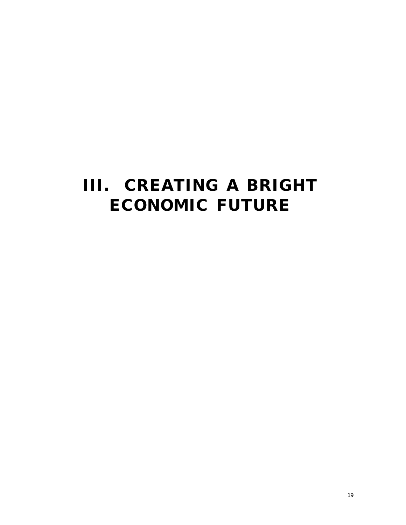## **III. CREATING A BRIGHT ECONOMIC FUTURE**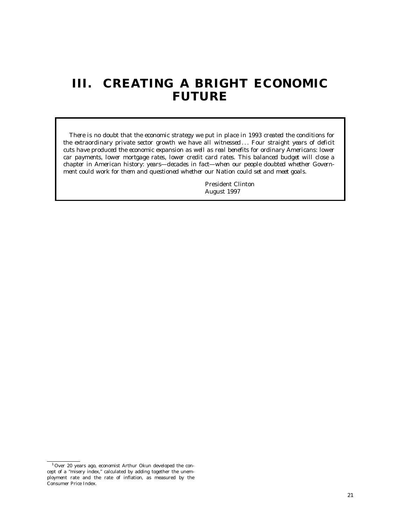## **III. CREATING A BRIGHT ECONOMIC FUTURE**

*There is no doubt that the economic strategy we put in place in 1993 created the conditions for the extraordinary private sector growth we have all witnessed . . . Four straight years of deficit cuts have produced the economic expansion as well as real benefits for ordinary Americans: lower car payments, lower mortgage rates, lower credit card rates. This balanced budget will close a chapter in American history: years—decades in fact—when our people doubted whether Government could work for them and questioned whether our Nation could set and meet goals.*

> President Clinton August 1997

<sup>&</sup>lt;sup>1</sup>Over 20 years ago, economist Arthur Okun developed the concept of a "misery index," calculated by adding together the unemployment rate and the rate of inflation, as measured by the Consumer Price Index.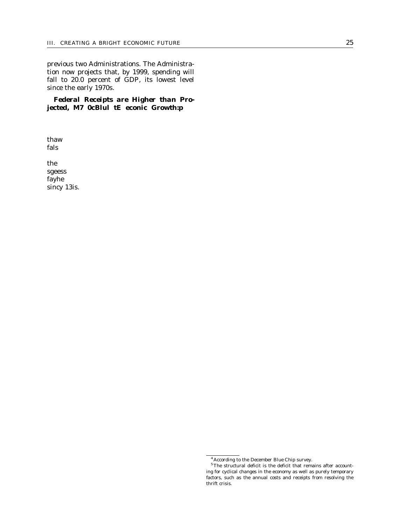previous two Administrations. The Administration now projects that, by 1999, spending will fall to 20.0 percent of GDP, its lowest level since the early 1970s.

Federal Receipts are Higher than Projected, M7 OcBlul tE econic Growth:p

thaw fals

the sgeess fayhe sincy 13is.

 $4$  According to the December  $Blue$  Chip survey.

<sup>&</sup>lt;sup>5</sup>The structural deficit is the deficit that remains after accounting for cyclical changes in the economy as well as purely temporary factors, such as the annual costs and receipts from resolving the thrift crisis.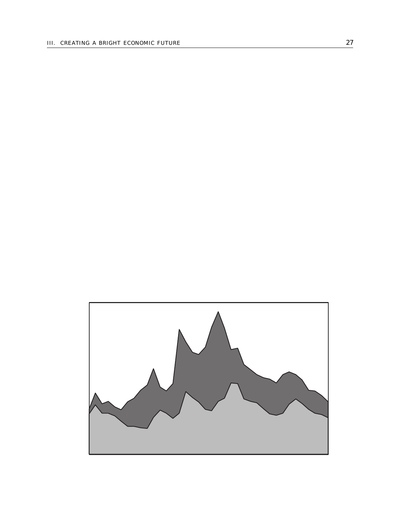